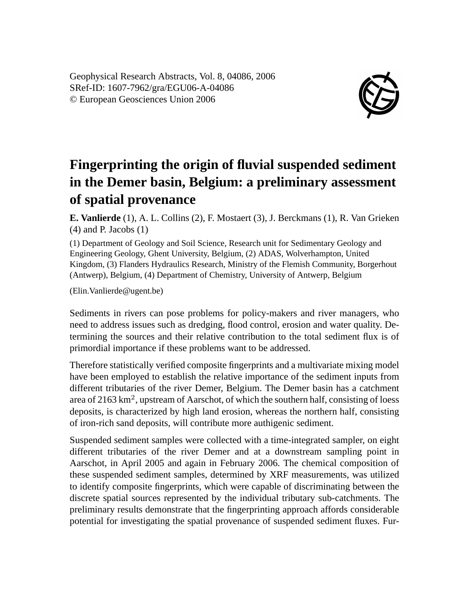Geophysical Research Abstracts, Vol. 8, 04086, 2006 SRef-ID: 1607-7962/gra/EGU06-A-04086 © European Geosciences Union 2006



## **Fingerprinting the origin of fluvial suspended sediment in the Demer basin, Belgium: a preliminary assessment of spatial provenance**

**E. Vanlierde** (1), A. L. Collins (2), F. Mostaert (3), J. Berckmans (1), R. Van Grieken (4) and P. Jacobs (1)

(1) Department of Geology and Soil Science, Research unit for Sedimentary Geology and Engineering Geology, Ghent University, Belgium, (2) ADAS, Wolverhampton, United Kingdom, (3) Flanders Hydraulics Research, Ministry of the Flemish Community, Borgerhout (Antwerp), Belgium, (4) Department of Chemistry, University of Antwerp, Belgium

(Elin.Vanlierde@ugent.be)

Sediments in rivers can pose problems for policy-makers and river managers, who need to address issues such as dredging, flood control, erosion and water quality. Determining the sources and their relative contribution to the total sediment flux is of primordial importance if these problems want to be addressed.

Therefore statistically verified composite fingerprints and a multivariate mixing model have been employed to establish the relative importance of the sediment inputs from different tributaries of the river Demer, Belgium. The Demer basin has a catchment area of 2163 km<sup>2</sup>, upstream of Aarschot, of which the southern half, consisting of loess deposits, is characterized by high land erosion, whereas the northern half, consisting of iron-rich sand deposits, will contribute more authigenic sediment.

Suspended sediment samples were collected with a time-integrated sampler, on eight different tributaries of the river Demer and at a downstream sampling point in Aarschot, in April 2005 and again in February 2006. The chemical composition of these suspended sediment samples, determined by XRF measurements, was utilized to identify composite fingerprints, which were capable of discriminating between the discrete spatial sources represented by the individual tributary sub-catchments. The preliminary results demonstrate that the fingerprinting approach affords considerable potential for investigating the spatial provenance of suspended sediment fluxes. Fur